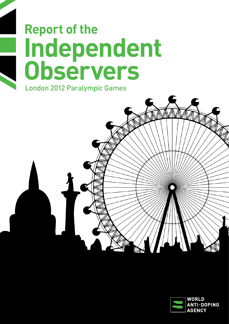# **Independent Observers** London 2012 Paralympic Games **Report of the**



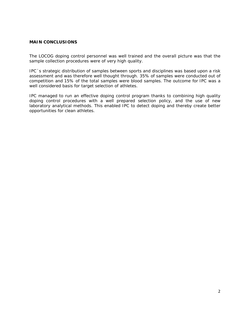#### **MAIN CONCLUSIONS**

The LOCOG doping control personnel was well trained and the overall picture was that the sample collection procedures were of very high quality.

IPC´s strategic distribution of samples between sports and disciplines was based upon a risk assessment and was therefore well thought through. 35% of samples were conducted out of competition and 15% of the total samples were blood samples. The outcome for IPC was a well considered basis for target selection of athletes.

IPC managed to run an effective doping control program thanks to combining high quality doping control procedures with a well prepared selection policy, and the use of new laboratory analytical methods. This enabled IPC to detect doping and thereby create better opportunities for clean athletes.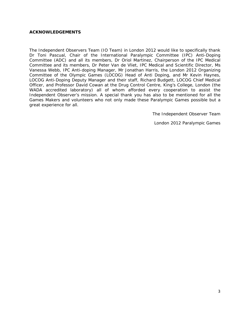#### **ACKNOWLEDGEMENTS**

The Independent Observers Team (IO Team) in London 2012 would like to specifically thank Dr Toni Pascual, Chair of the International Paralympic Committee (IPC) Anti-Doping Committee (ADC) and all its members, Dr Oriol Martinez, Chairperson of the IPC Medical Committee and its members, Dr Peter Van de Vliet, IPC Medical and Scientific Director, Ms Vanessa Webb, IPC Anti-doping Manager, Mr Jonathan Harris, the London 2012 Organizing Committee of the Olympic Games (LOCOG) Head of Anti Doping, and Mr Kevin Haynes, LOCOG Anti-Doping Deputy Manager and their staff, Richard Budgett, LOCOG Chief Medical Officer, and Professor David Cowan at the Drug Control Centre, King's College, London (the WADA accredited laboratory) all of whom afforded every cooperation to assist the Independent Observer's mission. A special thank you has also to be mentioned for all the Games Makers and volunteers who not only made these Paralympic Games possible but a great experience for all.

*The Independent Observer Team* 

*London 2012 Paralympic Games*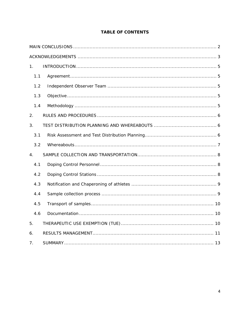| 1.             |  |
|----------------|--|
| 1.1            |  |
| 1.2            |  |
| 1.3            |  |
| 1.4            |  |
| 2.             |  |
| 3.             |  |
| 3.1            |  |
| 3.2            |  |
| 4.             |  |
| 4.1            |  |
| 4.2            |  |
| 4.3            |  |
| 4.4            |  |
| 4.5            |  |
| 4.6            |  |
| 5.             |  |
| 6.             |  |
| 7 <sub>1</sub> |  |

# **TABLE OF CONTENTS**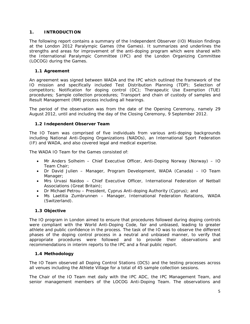# **1. INTRODUCTION**

The following report contains a summary of the Independent Observer (IO) Mission findings at the London 2012 Paralympic Games (the Games). It summarizes and underlines the strengths and areas for improvement of the anti-doping program which were shared with the International Paralympic Committee (IPC) and the London Organizing Committee (LOCOG) during the Games.

# *1.1 Agreement*

An agreement was signed between WADA and the IPC which outlined the framework of the IO mission and specifically included Test Distribution Planning (TDP); Selection of competitors; Notification for doping control (DC); Therapeutic Use Exemption (TUE) procedures; Sample collection procedures; Transport and chain of custody of samples and Result Management (RM) process including all hearings.

The period of the observation was from the date of the Opening Ceremony, namely 29 August 2012, until and including the day of the Closing Ceremony, 9 September 2012.

# *1.2 Independent Observer Team*

The IO Team was comprised of five individuals from various anti-doping backgrounds including National Anti-Doping Organizations (NADOs), an International Sport Federation (IF) and WADA, and also covered legal and medical expertise.

The WADA IO Team for the Games consisted of:

- Mr Anders Solheim Chief Executive Officer, Anti-Doping Norway (Norway) IO Team Chair;
- Dr David Julien Manager, Program Development, WADA (Canada) IO Team Manager;
- Mrs Urvasi Naidoo Chief Executive Officer, International Federation of Netball Associations (Great Britain);
- Dr Michael Petrou President, Cyprus Anti-doping Authority (Cyprus); and
- Ms Laetitia Zumbrunnen Manager, International Federation Relations, WADA (Switzerland).

### *1.3 Objective*

The IO program in London aimed to ensure that procedures followed during doping controls were compliant with the World Anti-Doping Code, fair and unbiased, leading to greater athlete and public confidence in the process. The task of the IO was to observe the different phases of the doping control process in a neutral and unbiased manner, to verify that appropriate procedures were followed and to provide their observations and recommendations in interim reports to the IPC and a final public report.

### *1.4 Methodology*

The IO Team observed all Doping Control Stations (DCS) and the testing processes across all venues including the Athlete Village for a total of 45 sample collection sessions.

The Chair of the IO Team met daily with the IPC ADC, the IPC Management Team, and senior management members of the LOCOG Anti-Doping Team. The observations and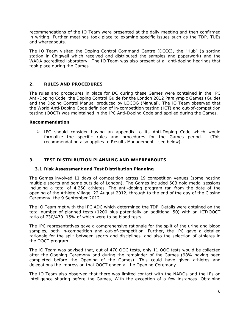recommendations of the IO Team were presented at the daily meeting and then confirmed in writing. Further meetings took place to examine specific issues such as the TDP, TUEs and whereabouts.

The IO Team visited the Doping Control Command Centre (DCCC), the "Hub" (a sorting station in Chigwell which received and distributed the samples and paperwork) and the WADA accredited laboratory. The IO Team was also present at all anti-doping hearings that took place during the Games.

### **2. RULES AND PROCEDURES**

The rules and procedures in place for DC during these Games were contained in the IPC Anti-Doping Code, the Doping Control Guide for the London 2012 Paralympic Games (Guide) and the Doping Control Manual produced by LOCOG (Manual). The IO Team observed that the World Anti-Doping Code definition of in-competition testing (ICT) and out-of-competition testing (OOCT) was maintained in the IPC Anti-Doping Code and applied during the Games.

#### **Recommendation**

 $\triangleright$  IPC should consider having an appendix to its Anti-Doping Code which would formalize the specific rules and procedures for the Games period. (This recommendation also applies to Results Management - see below).

# **3. TEST DISTRIBUTION PLANNING AND WHEREABOUTS**

### *3.1 Risk Assessment and Test Distribution Planning*

The Games involved 11 days of competition across 19 competition venues (some hosting multiple sports and some outside of London). The Games included 503 gold medal sessions including a total of 4,250 athletes. The anti-doping program ran from the date of the opening of the Athlete Village, 22 August 2012, through to the end of the day of the Closing Ceremony, the 9 September 2012.

The IO Team met with the IPC ADC which determined the TDP. Details were obtained on the total number of planned tests (1200 plus potentially an additional 50) with an ICT/OOCT ratio of 730/470. 15% of which were to be blood tests.

The IPC representatives gave a comprehensive rationale for the split of the urine and blood samples, both in-competition and out-of-competition. Further, the IPC gave a detailed rationale for the split between sports and disciplines, and also the selection of athletes in the OOCT program.

The IO Team was advised that, out of 470 OOC tests, only 11 OOC tests would be collected after the Opening Ceremony and during the remainder of the Games (98% having been completed before the Opening of the Games). This could have given athletes and delegations the impression that OOCT ended at the Opening Ceremony.

The IO Team also observed that there was limited contact with the NADOs and the IFs on intelligence sharing before the Games, With the exception of a few instances. Obtaining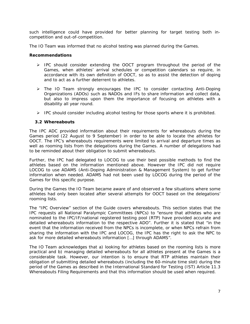such intelligence could have provided for better planning for target testing both incompetition and out-of-competition.

The IO Team was informed that no alcohol testing was planned during the Games.

#### **Recommendations**

- > IPC should consider extending the OOCT program throughout the period of the Games, when athletes' arrival schedules or competition calendars so require, in accordance with its own definition of OOCT, so as to assist the detection of doping and to act as a further deterrent to athletes.
- > The IO Team strongly encourages the IPC to consider contacting Anti-Doping Organizations (ADOs) such as NADOs and IFs to share information and collect data, but also to impress upon them the importance of focusing on athletes with a disability all year round.
- $\triangleright$  IPC should consider including alcohol testing for those sports where it is prohibited.

#### *3.2 Whereabouts*

The IPC ADC provided information about their requirements for whereabouts during the Games period (22 August to 9 September) in order to be able to locate the athletes for OOCT. The IPC's whereabouts requirements were limited to arrival and departure times as well as rooming lists from the delegations during the Games. A number of delegations had to be reminded about their obligation to submit whereabouts.

Further, the IPC had delegated to LOCOG to use their best possible methods to find the athletes based on the information mentioned above. However the IPC did not require LOCOG to use ADAMS (Anti-Doping Administration & Management System) to get further information when needed. ADAMS had not been used by LOCOG during the period of the Games for this specific purpose.

During the Games the IO Team became aware of and observed a few situations where some athletes had only been located after several attempts for OOCT based on the delegations' rooming lists.

The "IPC Overview" section of the Guide covers whereabouts. This section states that the IPC requests all National Paralympic Committees (NPCs) to *"ensure that athletes who are nominated to the IPC/IF/national registered testing pool (RTP) have provided accurate and detailed whereabouts information to the respective ADO".* Further it is stated that "*in the event that the information received from the NPCs is incomplete, or when NPCs refrain from sharing the information with the IPC and LOCOG, the IPC has the right to ask the NPC to ask for more detailed whereabouts information […] through ADAMS"*.

The IO Team acknowledges that a) looking for athletes based on the rooming lists is more practical and b) managing detailed whereabouts for all athletes present at the Games is a considerable task. However, our intention is to ensure that RTP athletes maintain their obligation of submitting detailed whereabouts (including the 60-minute time slot) during the period of the Games as described in the International Standard for Testing (IST) Article 11.3 *Whereabouts Filing Requirements* and that this information should be used when required.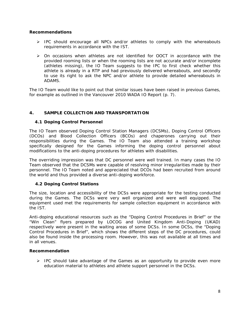### **Recommendations**

- $\triangleright$  IPC should encourage all NPCs and/or athletes to comply with the whereabouts requirements in accordance with the IST.
- $\triangleright$  On occasions when athletes are not identified for OOCT in accordance with the provided rooming lists or when the rooming lists are not accurate and/or incomplete (athletes missing), the IO Team suggests to the IPC to first check whether this athlete is already in a RTP and had previously delivered whereabouts, and secondly to use its right to ask the NPC and/or athlete to provide detailed whereabouts in ADAMS.

The IO Team would like to point out that similar issues have been raised in previous Games, for example as outlined in the Vancouver 2010 WADA IO Report (p. 7).

### **4. SAMPLE COLLECTION AND TRANSPORTATION**

### *4.1 Doping Control Personnel*

The IO Team observed Doping Control Station Managers (DCSMs), Doping Control Officers (DCOs) and Blood Collection Officers (BCOs) and chaperones carrying out their responsibilities during the Games. The IO Team also attended a training workshop specifically designed for the Games informing the doping control personnel about modifications to the anti-doping procedures for athletes with disabilities.

The overriding impression was that DC personnel were well trained. In many cases the IO Team observed that the DCSMs were capable of resolving minor irregularities made by their personnel. The IO Team noted and appreciated that DCOs had been recruited from around the world and thus provided a diverse anti-doping workforce.

### *4.2 Doping Control Stations*

The size, location and accessibility of the DCSs were appropriate for the testing conducted during the Games. The DCSs were very well organized and were well equipped. The equipment used met the requirements for sample collection equipment in accordance with the IST.

Anti-doping educational resources such as the "Doping Control Procedures in Brief" or the "Win Clean" flyers prepared by LOCOG and United Kingdom Anti-Doping (UKAD) respectively were present in the waiting areas of some DCSs. In some DCSs, the "Doping Control Procedures in Brief", which shows the different steps of the DC procedures, could also be found inside the processing room. However, this was not available at all times and in all venues.

#### **Recommendation**

 $\triangleright$  IPC should take advantage of the Games as an opportunity to provide even more education material to athletes and athlete support personnel in the DCSs.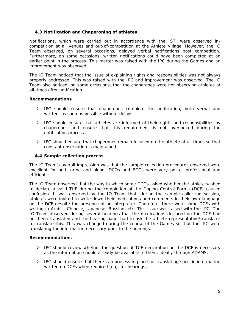# *4.3 Notification and Chaperoning of athletes*

Notifications, which were carried out in accordance with the IST, were observed incompetition at all venues and out-of-competition at the Athlete Village. However, the IO Team observed, on several occasions, delayed verbal notifications post competition. Furthermore, on some occasions, written notifications could have been completed at an earlier point in the process. This matter was raised with the IPC during the Games and an improvement was observed.

The IO Team noticed that the issue of explaining rights and responsibilities was not always properly addressed. This was raised with the IPC and improvement was observed. The IO Team also noticed, on some occasions, that the chaperones were not observing athletes at all times after notification.

### **Recommendations**

- $\triangleright$  IPC should ensure that chaperones complete the notification, both verbal and written, as soon as possible without delays.
- $\triangleright$  IPC should ensure that athletes are informed of their rights and responsibilities by chaperones and ensure that this requirement is not overlooked during the notification process.
- $\triangleright$  IPC should ensure that chaperones remain focused on the athlete at all times so that constant observation is maintained.

### *4.4 Sample collection process*

The IO Team's overall impression was that the sample collection procedures observed were excellent for both urine and blood. DCOs and BCOs were very polite, professional and efficient.

The IO Team observed that the way in which some DCOs asked whether the athlete wished to declare a valid TUE during the completion of the Doping Control Forms (DCF) caused confusion. It was observed by the IO Team that, during the sample collection session, athletes were invited to write down their medications and comments in their own language on the DCF despite the presence of an interpreter. Therefore, there were some DCFs with writing in Arabic, Chinese, Japanese, Russian, etc. This issue was raised with the IPC. The IO Team observed during several hearings that the medications declared on the DCF had not been translated and the hearing panel had to ask the athlete representative/translator to translate this. This was changed during the course of the Games so that the IPC were translating the information necessary prior to the hearings.

#### **Recommendations**

- FIPC should review whether the question of TUE declaration on the DCF is necessary as the information should already be available to them, ideally through ADAMS.
- $\triangleright$  IPC should ensure that there is a process in place for translating specific information written on DCFs when required (e.g. for hearings).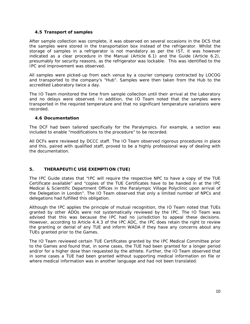# *4.5 Transport of samples*

After sample collection was complete, it was observed on several occasions in the DCS that the samples were stored in the transportation box instead of the refrigerator. Whilst the storage of samples in a refrigerator is not mandatory as per the IST, it was however indicated as a clear procedure in the Manual (Article 6.1) and the Guide (Article 6.2), presumably for security reasons, as the refrigerator was lockable. This was identified to the IPC and improvement was observed.

All samples were picked-up from each venue by a courier company contracted by LOCOG and transported to the company's "Hub". Samples were then taken from the Hub to the accredited Laboratory twice a day.

The IO Team monitored the time from sample collection until their arrival at the Laboratory and no delays were observed. In addition, the IO Team noted that the samples were transported in the required temperature and that no significant temperature variations were recorded.

# *4.6 Documentation*

The DCF had been tailored specifically for the Paralympics. For example, a section was included to enable "modifications to the procedure" to be recorded.

All DCFs were reviewed by DCCC staff. The IO Team observed rigorous procedures in place and this, paired with qualified staff, proved to be a highly professional way of dealing with the documentation.

# **5. THERAPEUTIC USE EXEMPTION (TUE)**

The IPC Guide states that "*IPC will require the respective NPC to have a copy of the TUE Certificate available*" and "*copies of the TUE Certificates have to be handed in at the IPC Medical & Scientific Department Offices in the Paralympic Village Polyclinic upon arrival of the Delegation in London*". The IO Team observed that only a limited number of NPCs and delegations had fulfilled this obligation.

Although the IPC applies the principle of mutual recognition, the IO Team noted that TUEs granted by other ADOs were not systematically reviewed by the IPC. The IO Team was advised that this was because the IPC had no jurisdiction to appeal these decisions. However, according to Article 4.4.3 of the IPC ADC, the IPC does retain the right to review the granting or denial of any TUE and inform WADA if they have any concerns about any TUEs granted prior to the Games.

The IO Team reviewed certain TUE Certificates granted by the IPC Medical Committee prior to the Games and found that, in some cases, the TUE had been granted for a longer period and/or for a higher dose than requested by the athlete. Further, the IO Team observed that in some cases a TUE had been granted without supporting medical information on file or where medical information was in another language and had not been translated.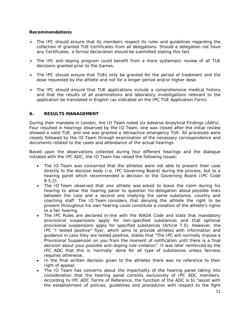#### **Recommendations**

- $\triangleright$  The IPC should ensure that its members respect its rules and quidelines regarding the collection of granted TUE Certificates from all delegations. Should a delegation not have any Certificates, a formal declaration should be submitted stating this fact.
- The IPC anti-doping program could benefit from a more systematic review of all TUE decisions granted prior to the Games.
- $\triangleright$  The IPC should ensure that TUEs only be granted for the period of treatment and the dose requested by the athlete and not for a longer period and/or higher dose.
- $\triangleright$  The IPC should ensure that TUE applications include a comprehensive medical history and that the results of all examinations and laboratory investigations relevant to the application be translated in English (as indicated on the IPC TUE Application Form).

### **6. RESULTS MANAGEMENT**

During their mandate in London, the IO Team noted six Adverse Analytical Findings (AAFs). Four resulted in hearings observed by the IO Team, one was closed after the initial review showed a valid TUE, and one was granted a retroactive emergency TUE. All processes were closely followed by the IO Team through examination of the necessary correspondence and documents related to the cases and attendance of the actual hearings.

Based upon the observations collected during four different hearings and the dialogue initiated with the IPC ADC, the IO Team has raised the following issues:

- The IO Team was concerned that the athletes were not able to present their case directly to the decision body (i.e. IPC Governing Board) during the process, but to a hearing panel which recommended a decision to the Governing Board (IPC Code 8.5.2).
- The IO Team observed that one athlete was asked to leave the room during his hearing to allow the hearing panel to question his delegation about possible links between the case and a second one implying the same substance, country and coaching staff. The IO Team considers that denying the athlete the right to be present throughout his own hearing could constitute a violation of the athlete's rights to a fair hearing.
- The IPC Rules are declared in-line with the WADA Code and state that mandatory provisional suspensions apply for non-specified substances and that optional provisional suspensions apply for specified substances (Article 7.5). However, the IPC "*I tested positive*" flyer, which aims to provide athletes with information and guidance in case they are tested positive, states that "*The IPC will normally impose a Provisional Suspension on you from the moment of notification until there is a final decision about your possible anti-doping rule violation*". It was later reinforced by the IPC ADC that this is 'normally' done for all type of substances unless fairness requires otherwise.
- In the final written decision given to the athletes there was no reference to their right of appeal.
- The IO Team has concerns about the impartiality of the hearing panel taking into consideration that the hearing panel consists exclusively of IPC ADC members. According to IPC ADC Terms of Reference, the function of the ADC is to "assist with the establishment of policies, guidelines and procedures with respect to the fight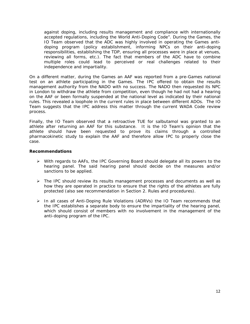against doping, including results management and compliance with internationally accepted regulations, including the World Anti-Doping Code". During the Games, the IO Team observed that the ADC was highly involved in operating the Games antidoping program (policy establishment, informing NPCs on their anti-doping responsibilities, establishing the TDP, ensuring all processes were in place at venues, reviewing all forms, etc.). The fact that members of the ADC have to combine multiple roles could lead to perceived or real challenges related to their independence and impartiality.

On a different matter, during the Games an AAF was reported from a pre-Games national test on an athlete participating in the Games. The IPC offered to obtain the results management authority from the NADO with no success. The NADO then requested its NPC in London to withdraw the athlete from competition, even though he had not had a hearing on the AAF or been formally suspended at the national level as indicated by their national rules. This revealed a loophole in the current rules in place between different ADOs. The IO Team suggests that the IPC address this matter through the current WADA Code review process.

Finally, the IO Team observed that a retroactive TUE for salbutamol was granted to an athlete after returning an AAF for this substance. It is the IO Team's opinion that the athlete should have been requested to prove its claims through a controlled pharmacokinetic study to explain the AAF and therefore allow IPC to properly close the case.

#### **Recommendations**

- With regards to AAFs, the IPC Governing Board should delegate all its powers to the hearing panel. The said hearing panel should decide on the measures and/or sanctions to be applied.
- $\triangleright$  The IPC should review its results management processes and documents as well as how they are operated in practice to ensure that the rights of the athletes are fully protected (also see recommendation in Section 2. Rules and procedures).
- $\triangleright$  In all cases of Anti-Doping Rule Violations (ADRVs) the IO Team recommends that the IPC establishes a separate body to ensure the impartiality of the hearing panel, which should consist of members with no involvement in the management of the anti-doping program of the IPC.